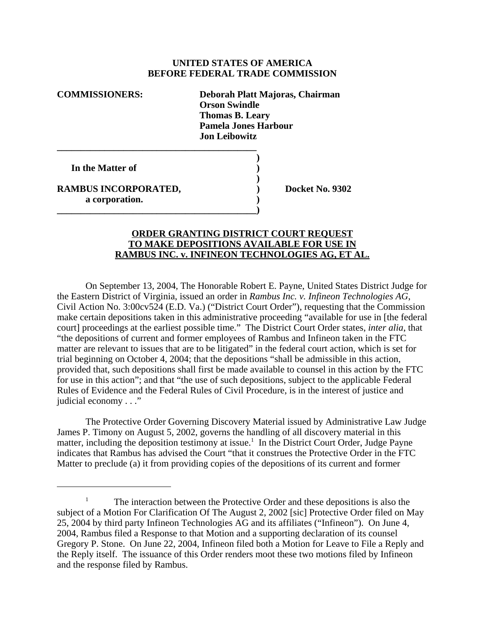## **UNITED STATES OF AMERICA BEFORE FEDERAL TRADE COMMISSION**

**COMMISSIONERS: Deborah Platt Majoras, Chairman Orson Swindle Thomas B. Leary Pamela Jones Harbour Jon Leibowitz**

**)**

**)**

**In the Matter of )**

**RAMBUS INCORPORATED, Sand Control Control Control Docket No. 9302 a corporation. )**

**\_\_\_\_\_\_\_\_\_\_\_\_\_\_\_\_\_\_\_\_\_\_\_\_\_\_\_\_\_\_\_\_\_\_\_\_\_\_\_\_\_\_**

**\_\_\_\_\_\_\_\_\_\_\_\_\_\_\_\_\_\_\_\_\_\_\_\_\_\_\_\_\_\_\_\_\_\_\_\_\_\_\_\_\_\_)**

## **ORDER GRANTING DISTRICT COURT REQUEST TO MAKE DEPOSITIONS AVAILABLE FOR USE IN RAMBUS INC. v. INFINEON TECHNOLOGIES AG, ET AL.**

On September 13, 2004, The Honorable Robert E. Payne, United States District Judge for the Eastern District of Virginia, issued an order in *Rambus Inc. v. Infineon Technologies AG*, Civil Action No. 3:00cv524 (E.D. Va.) ("District Court Order"), requesting that the Commission make certain depositions taken in this administrative proceeding "available for use in [the federal court] proceedings at the earliest possible time." The District Court Order states, *inter alia*, that "the depositions of current and former employees of Rambus and Infineon taken in the FTC matter are relevant to issues that are to be litigated" in the federal court action, which is set for trial beginning on October 4, 2004; that the depositions "shall be admissible in this action, provided that, such depositions shall first be made available to counsel in this action by the FTC for use in this action"; and that "the use of such depositions, subject to the applicable Federal Rules of Evidence and the Federal Rules of Civil Procedure, is in the interest of justice and judicial economy . . ."

The Protective Order Governing Discovery Material issued by Administrative Law Judge James P. Timony on August 5, 2002, governs the handling of all discovery material in this matter, including the deposition testimony at issue.<sup>1</sup> In the District Court Order, Judge Payne indicates that Rambus has advised the Court "that it construes the Protective Order in the FTC Matter to preclude (a) it from providing copies of the depositions of its current and former

The interaction between the Protective Order and these depositions is also the subject of a Motion For Clarification Of The August 2, 2002 [sic] Protective Order filed on May 25, 2004 by third party Infineon Technologies AG and its affiliates ("Infineon"). On June 4, 2004, Rambus filed a Response to that Motion and a supporting declaration of its counsel Gregory P. Stone. On June 22, 2004, Infineon filed both a Motion for Leave to File a Reply and the Reply itself. The issuance of this Order renders moot these two motions filed by Infineon and the response filed by Rambus.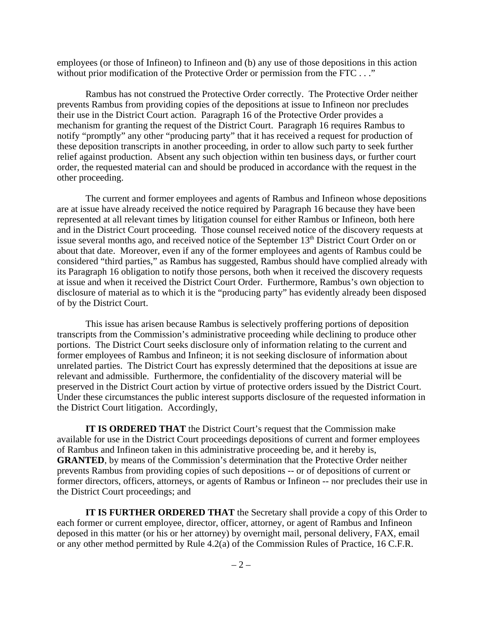employees (or those of Infineon) to Infineon and (b) any use of those depositions in this action without prior modification of the Protective Order or permission from the FTC . . ."

Rambus has not construed the Protective Order correctly. The Protective Order neither prevents Rambus from providing copies of the depositions at issue to Infineon nor precludes their use in the District Court action. Paragraph 16 of the Protective Order provides a mechanism for granting the request of the District Court. Paragraph 16 requires Rambus to notify "promptly" any other "producing party" that it has received a request for production of these deposition transcripts in another proceeding, in order to allow such party to seek further relief against production. Absent any such objection within ten business days, or further court order, the requested material can and should be produced in accordance with the request in the other proceeding.

The current and former employees and agents of Rambus and Infineon whose depositions are at issue have already received the notice required by Paragraph 16 because they have been represented at all relevant times by litigation counsel for either Rambus or Infineon, both here and in the District Court proceeding. Those counsel received notice of the discovery requests at issue several months ago, and received notice of the September 13<sup>th</sup> District Court Order on or about that date. Moreover, even if any of the former employees and agents of Rambus could be considered "third parties," as Rambus has suggested, Rambus should have complied already with its Paragraph 16 obligation to notify those persons, both when it received the discovery requests at issue and when it received the District Court Order. Furthermore, Rambus's own objection to disclosure of material as to which it is the "producing party" has evidently already been disposed of by the District Court.

 This issue has arisen because Rambus is selectively proffering portions of deposition transcripts from the Commission's administrative proceeding while declining to produce other portions. The District Court seeks disclosure only of information relating to the current and former employees of Rambus and Infineon; it is not seeking disclosure of information about unrelated parties. The District Court has expressly determined that the depositions at issue are relevant and admissible. Furthermore, the confidentiality of the discovery material will be preserved in the District Court action by virtue of protective orders issued by the District Court. Under these circumstances the public interest supports disclosure of the requested information in the District Court litigation. Accordingly,

**IT IS ORDERED THAT** the District Court's request that the Commission make available for use in the District Court proceedings depositions of current and former employees of Rambus and Infineon taken in this administrative proceeding be, and it hereby is, **GRANTED**, by means of the Commission's determination that the Protective Order neither prevents Rambus from providing copies of such depositions -- or of depositions of current or former directors, officers, attorneys, or agents of Rambus or Infineon -- nor precludes their use in the District Court proceedings; and

**IT IS FURTHER ORDERED THAT** the Secretary shall provide a copy of this Order to each former or current employee, director, officer, attorney, or agent of Rambus and Infineon deposed in this matter (or his or her attorney) by overnight mail, personal delivery, FAX, email or any other method permitted by Rule 4.2(a) of the Commission Rules of Practice, 16 C.F.R.